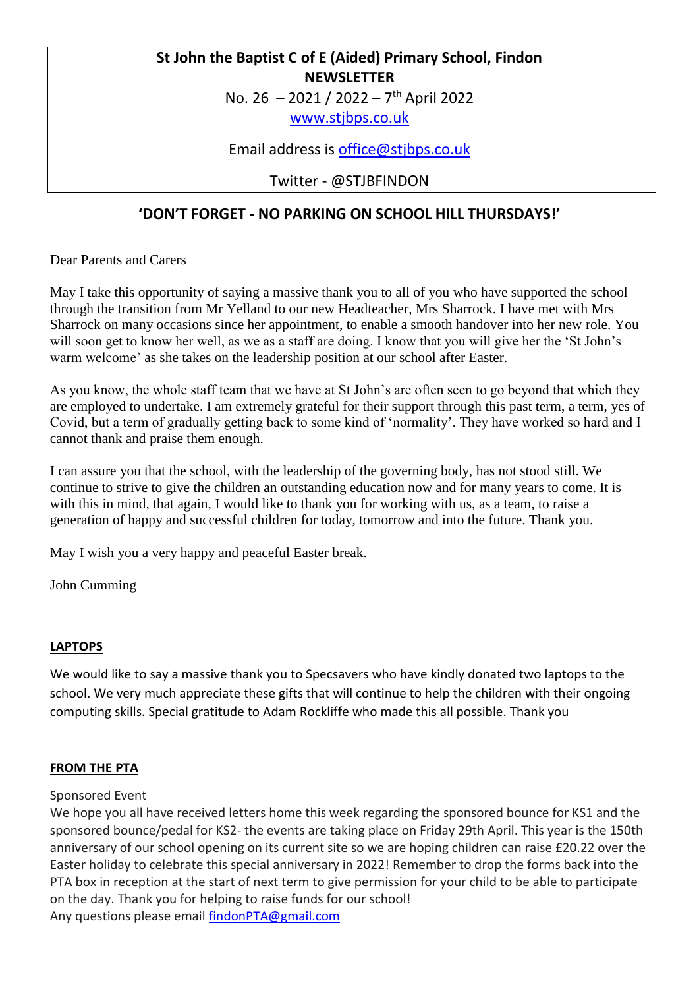# **St John the Baptist C of E (Aided) Primary School, Findon NEWSLETTER**

No. 26 – 2021 / 2022 – 7 th April 2022

[www.stjbps.co.uk](http://www.stjbps.co.uk/)

Email address is [office@stjbps.co.uk](mailto:office@stjbps.co.uk)

Twitter - @STJBFINDON

# **'DON'T FORGET - NO PARKING ON SCHOOL HILL THURSDAYS!'**

Dear Parents and Carers

May I take this opportunity of saying a massive thank you to all of you who have supported the school through the transition from Mr Yelland to our new Headteacher, Mrs Sharrock. I have met with Mrs Sharrock on many occasions since her appointment, to enable a smooth handover into her new role. You will soon get to know her well, as we as a staff are doing. I know that you will give her the 'St John's warm welcome' as she takes on the leadership position at our school after Easter.

As you know, the whole staff team that we have at St John's are often seen to go beyond that which they are employed to undertake. I am extremely grateful for their support through this past term, a term, yes of Covid, but a term of gradually getting back to some kind of 'normality'. They have worked so hard and I cannot thank and praise them enough.

I can assure you that the school, with the leadership of the governing body, has not stood still. We continue to strive to give the children an outstanding education now and for many years to come. It is with this in mind, that again, I would like to thank you for working with us, as a team, to raise a generation of happy and successful children for today, tomorrow and into the future. Thank you.

May I wish you a very happy and peaceful Easter break.

John Cumming

## **LAPTOPS**

We would like to say a massive thank you to Specsavers who have kindly donated two laptops to the school. We very much appreciate these gifts that will continue to help the children with their ongoing computing skills. Special gratitude to Adam Rockliffe who made this all possible. Thank you

## **FROM THE PTA**

#### Sponsored Event

We hope you all have received letters home this week regarding the sponsored bounce for KS1 and the sponsored bounce/pedal for KS2- the events are taking place on Friday 29th April. This year is the 150th anniversary of our school opening on its current site so we are hoping children can raise £20.22 over the Easter holiday to celebrate this special anniversary in 2022! Remember to drop the forms back into the PTA box in reception at the start of next term to give permission for your child to be able to participate on the day. Thank you for helping to raise funds for our school! Any questions please email [findonPTA@gmail.com](mailto:findonPTA@gmail.com)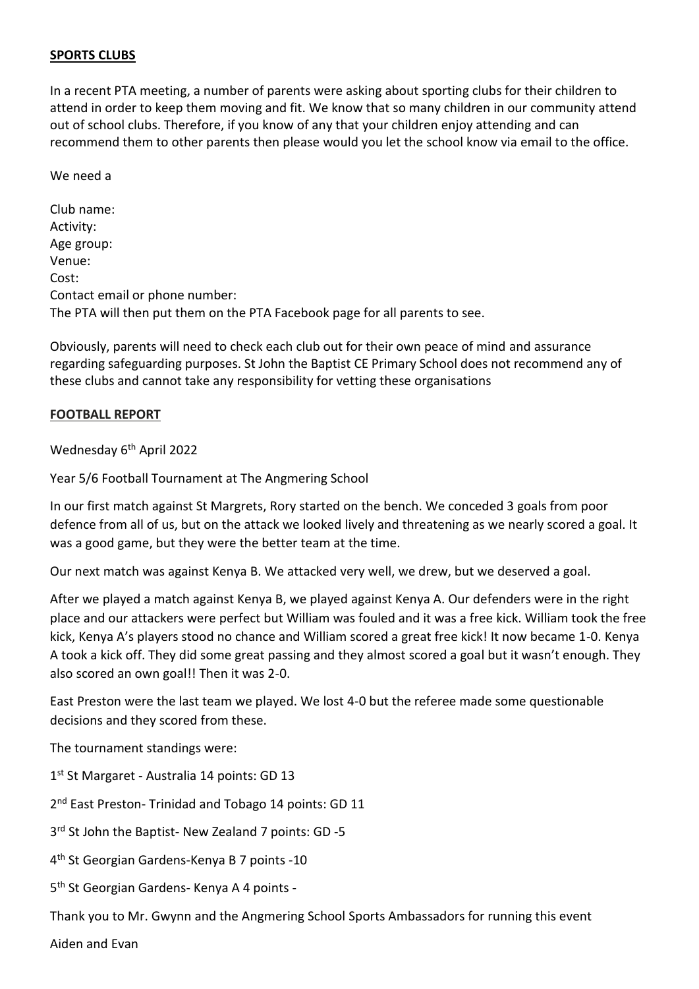#### **SPORTS CLUBS**

In a recent PTA meeting, a number of parents were asking about sporting clubs for their children to attend in order to keep them moving and fit. We know that so many children in our community attend out of school clubs. Therefore, if you know of any that your children enjoy attending and can recommend them to other parents then please would you let the school know via email to the office.

We need a

Club name: Activity: Age group: Venue: Cost: Contact email or phone number: The PTA will then put them on the PTA Facebook page for all parents to see.

Obviously, parents will need to check each club out for their own peace of mind and assurance regarding safeguarding purposes. St John the Baptist CE Primary School does not recommend any of these clubs and cannot take any responsibility for vetting these organisations

#### **FOOTBALL REPORT**

Wednesday 6<sup>th</sup> April 2022

Year 5/6 Football Tournament at The Angmering School

In our first match against St Margrets, Rory started on the bench. We conceded 3 goals from poor defence from all of us, but on the attack we looked lively and threatening as we nearly scored a goal. It was a good game, but they were the better team at the time.

Our next match was against Kenya B. We attacked very well, we drew, but we deserved a goal.

After we played a match against Kenya B, we played against Kenya A. Our defenders were in the right place and our attackers were perfect but William was fouled and it was a free kick. William took the free kick, Kenya A's players stood no chance and William scored a great free kick! It now became 1-0. Kenya A took a kick off. They did some great passing and they almost scored a goal but it wasn't enough. They also scored an own goal!! Then it was 2-0.

East Preston were the last team we played. We lost 4-0 but the referee made some questionable decisions and they scored from these.

The tournament standings were:

1<sup>st</sup> St Margaret - Australia 14 points: GD 13

2<sup>nd</sup> East Preston- Trinidad and Tobago 14 points: GD 11

3<sup>rd</sup> St John the Baptist- New Zealand 7 points: GD -5

4 th St Georgian Gardens-Kenya B 7 points -10

5<sup>th</sup> St Georgian Gardens- Kenya A 4 points -

Thank you to Mr. Gwynn and the Angmering School Sports Ambassadors for running this event

Aiden and Evan